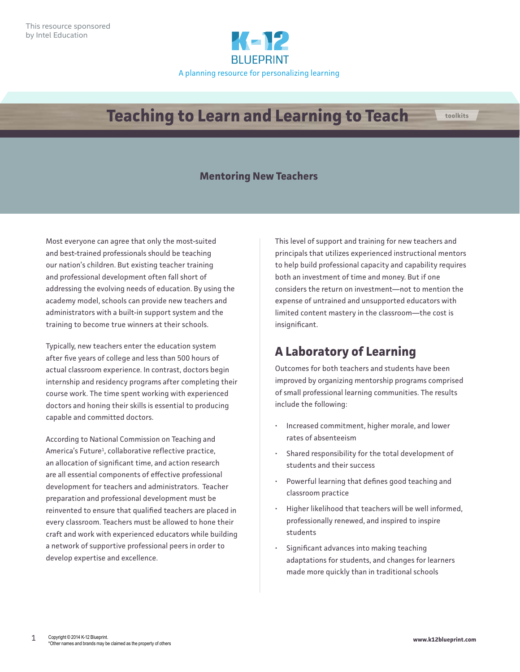

# **Teaching to Learn and Learning to Teach**

### **Mentoring New Teachers**

Most everyone can agree that only the most-suited and best-trained professionals should be teaching our nation's children. But existing teacher training and professional development often fall short of addressing the evolving needs of education. By using the academy model, schools can provide new teachers and administrators with a built-in support system and the training to become true winners at their schools.

Typically, new teachers enter the education system after five years of college and less than 500 hours of actual classroom experience. In contrast, doctors begin internship and residency programs after completing their course work. The time spent working with experienced doctors and honing their skills is essential to producing capable and committed doctors.

According to National Commission on Teaching and America's Future<sup>1</sup>, collaborative reflective practice, an allocation of significant time, and action research are all essential components of effective professional development for teachers and administrators. Teacher preparation and professional development must be reinvented to ensure that qualified teachers are placed in every classroom. Teachers must be allowed to hone their craft and work with experienced educators while building a network of supportive professional peers in order to develop expertise and excellence.

This level of support and training for new teachers and principals that utilizes experienced instructional mentors to help build professional capacity and capability requires both an investment of time and money. But if one considers the return on investment—not to mention the expense of untrained and unsupported educators with limited content mastery in the classroom—the cost is insignificant.

## **A Laboratory of Learning**

Outcomes for both teachers and students have been improved by organizing mentorship programs comprised of small professional learning communities. The results include the following:

- Increased commitment, higher morale, and lower rates of absenteeism
- Shared responsibility for the total development of students and their success
- Powerful learning that defines good teaching and classroom practice
- Higher likelihood that teachers will be well informed, professionally renewed, and inspired to inspire students
- Significant advances into making teaching adaptations for students, and changes for learners made more quickly than in traditional schools

**toolkits**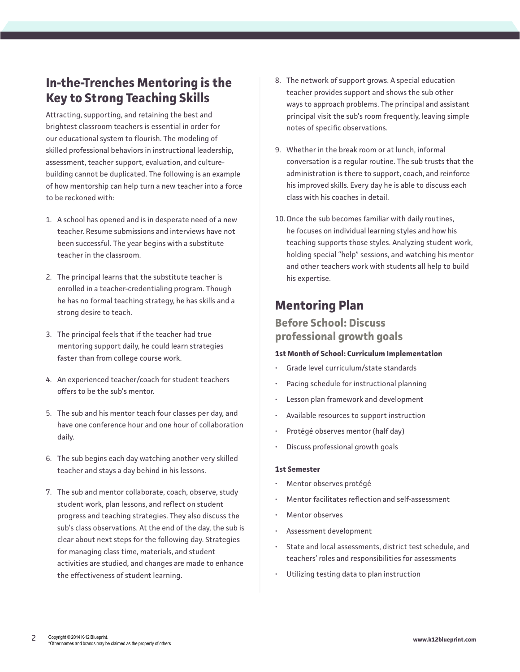## **In-the-Trenches Mentoring is the Key to Strong Teaching Skills**

Attracting, supporting, and retaining the best and brightest classroom teachers is essential in order for our educational system to flourish. The modeling of skilled professional behaviors in instructional leadership, assessment, teacher support, evaluation, and culturebuilding cannot be duplicated. The following is an example of how mentorship can help turn a new teacher into a force to be reckoned with:

- 1. A school has opened and is in desperate need of a new teacher. Resume submissions and interviews have not been successful. The year begins with a substitute teacher in the classroom.
- 2. The principal learns that the substitute teacher is enrolled in a teacher-credentialing program. Though he has no formal teaching strategy, he has skills and a strong desire to teach.
- 3. The principal feels that if the teacher had true mentoring support daily, he could learn strategies faster than from college course work.
- 4. An experienced teacher/coach for student teachers offers to be the sub's mentor.
- 5. The sub and his mentor teach four classes per day, and have one conference hour and one hour of collaboration daily.
- 6. The sub begins each day watching another very skilled teacher and stays a day behind in his lessons.
- 7. The sub and mentor collaborate, coach, observe, study student work, plan lessons, and reflect on student progress and teaching strategies. They also discuss the sub's class observations. At the end of the day, the sub is clear about next steps for the following day. Strategies for managing class time, materials, and student activities are studied, and changes are made to enhance the effectiveness of student learning.
- 8. The network of support grows. A special education teacher provides support and shows the sub other ways to approach problems. The principal and assistant principal visit the sub's room frequently, leaving simple notes of specific observations.
- 9. Whether in the break room or at lunch, informal conversation is a regular routine. The sub trusts that the administration is there to support, coach, and reinforce his improved skills. Every day he is able to discuss each class with his coaches in detail.
- 10.Once the sub becomes familiar with daily routines, he focuses on individual learning styles and how his teaching supports those styles. Analyzing student work, holding special "help" sessions, and watching his mentor and other teachers work with students all help to build his expertise.

### **Mentoring Plan**

### **Before School: Discuss professional growth goals**

#### **1st Month of School: Curriculum Implementation**

- Grade level curriculum/state standards
- Pacing schedule for instructional planning
- Lesson plan framework and development
- Available resources to support instruction
- Protégé observes mentor (half day)
- Discuss professional growth goals

#### **1st Semester**

- Mentor observes protégé
- Mentor facilitates reflection and self-assessment
- Mentor observes
- Assessment development
- State and local assessments, district test schedule, and teachers' roles and responsibilities for assessments
- Utilizing testing data to plan instruction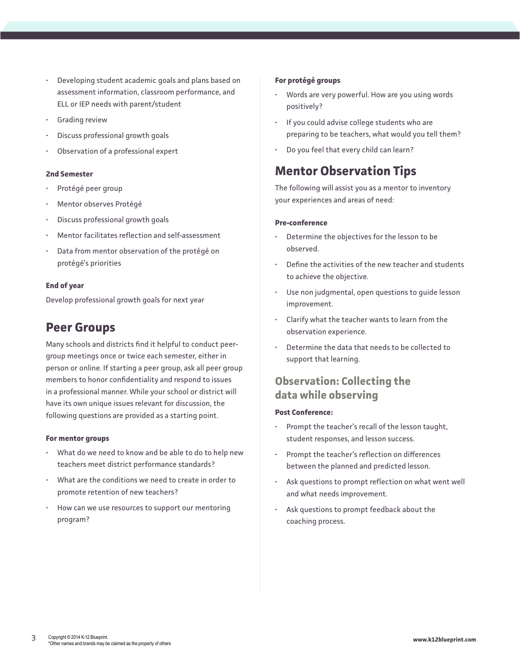- Developing student academic goals and plans based on assessment information, classroom performance, and ELL or IEP needs with parent/student
- Grading review
- Discuss professional growth goals
- Observation of a professional expert

#### **2nd Semester**

- Protégé peer group
- Mentor observes Protégé
- Discuss professional growth goals
- Mentor facilitates reflection and self-assessment
- Data from mentor observation of the protégé on protégé's priorities

#### **End of year**

Develop professional growth goals for next year

### **Peer Groups**

Many schools and districts find it helpful to conduct peergroup meetings once or twice each semester, either in person or online. If starting a peer group, ask all peer group members to honor confidentiality and respond to issues in a professional manner. While your school or district will have its own unique issues relevant for discussion, the following questions are provided as a starting point.

#### **For mentor groups**

- What do we need to know and be able to do to help new teachers meet district performance standards?
- What are the conditions we need to create in order to promote retention of new teachers?
- How can we use resources to support our mentoring program?

#### **For protégé groups**

- Words are very powerful. How are you using words positively?
- If you could advise college students who are preparing to be teachers, what would you tell them?
- Do you feel that every child can learn?

## **Mentor Observation Tips**

The following will assist you as a mentor to inventory your experiences and areas of need:

#### **Pre-conference**

- Determine the objectives for the lesson to be observed.
- Define the activities of the new teacher and students to achieve the objective.
- Use non judgmental, open questions to quide lesson improvement.
- Clarify what the teacher wants to learn from the observation experience.
- Determine the data that needs to be collected to support that learning.

### **Observation: Collecting the data while observing**

#### **Post Conference:**

- Prompt the teacher's recall of the lesson taught, student responses, and lesson success.
- Prompt the teacher's reflection on differences between the planned and predicted lesson.
- Ask questions to prompt reflection on what went well and what needs improvement.
- Ask questions to prompt feedback about the coaching process.